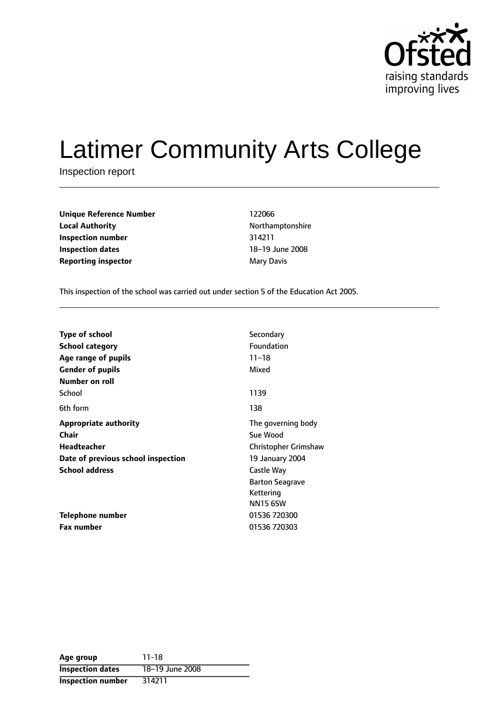

# Latimer Community Arts College

Inspection report

| Unique Reference Number    | 122066     |
|----------------------------|------------|
| <b>Local Authority</b>     | Northampto |
| Inspection number          | 314211     |
| Inspection dates           | 18-19 June |
| <b>Reporting inspector</b> | Mary Davis |

**Unique Reference Number** 122066 **Local Authority** Northamptonshire **Inspection number** 314211 18-19 June 2008

This inspection of the school was carried out under section 5 of the Education Act 2005.

| <b>Type of school</b>              | Secondary              |
|------------------------------------|------------------------|
| <b>School category</b>             | Foundation             |
| Age range of pupils                | $11 - 18$              |
| <b>Gender of pupils</b>            | Mixed                  |
| Number on roll                     |                        |
| School                             | 1139                   |
| 6th form                           | 138                    |
| <b>Appropriate authority</b>       | The governing body     |
| Chair                              | Sue Wood               |
| <b>Headteacher</b>                 | Christopher Grimshaw   |
| Date of previous school inspection | 19 January 2004        |
| <b>School address</b>              | Castle Way             |
|                                    | <b>Barton Seagrave</b> |
|                                    | Kettering              |
|                                    | <b>NN15 6SW</b>        |
| Telephone number                   | 01536 720300           |
| <b>Fax number</b>                  | 01536 720303           |

| Age group                | $11 - 18$       |
|--------------------------|-----------------|
| <b>Inspection dates</b>  | 18-19 June 2008 |
| <b>Inspection number</b> | 314211          |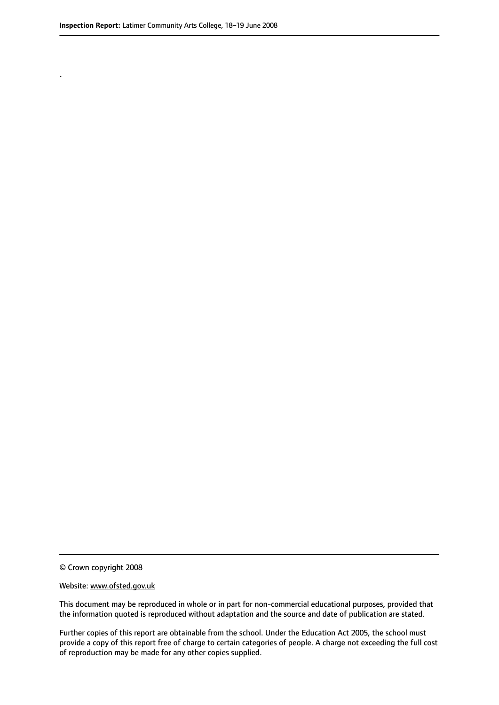.

© Crown copyright 2008

#### Website: www.ofsted.gov.uk

This document may be reproduced in whole or in part for non-commercial educational purposes, provided that the information quoted is reproduced without adaptation and the source and date of publication are stated.

Further copies of this report are obtainable from the school. Under the Education Act 2005, the school must provide a copy of this report free of charge to certain categories of people. A charge not exceeding the full cost of reproduction may be made for any other copies supplied.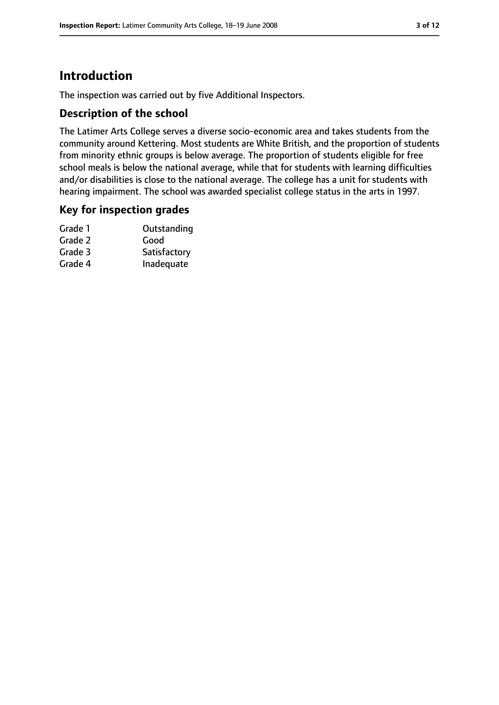# **Introduction**

The inspection was carried out by five Additional Inspectors.

## **Description of the school**

The Latimer Arts College serves a diverse socio-economic area and takes students from the community around Kettering. Most students are White British, and the proportion of students from minority ethnic groups is below average. The proportion of students eligible for free school meals is below the national average, while that for students with learning difficulties and/or disabilities is close to the national average. The college has a unit for students with hearing impairment. The school was awarded specialist college status in the arts in 1997.

## **Key for inspection grades**

| Grade 1 | Outstanding  |
|---------|--------------|
| Grade 2 | Good         |
| Grade 3 | Satisfactory |
| Grade 4 | Inadequate   |
|         |              |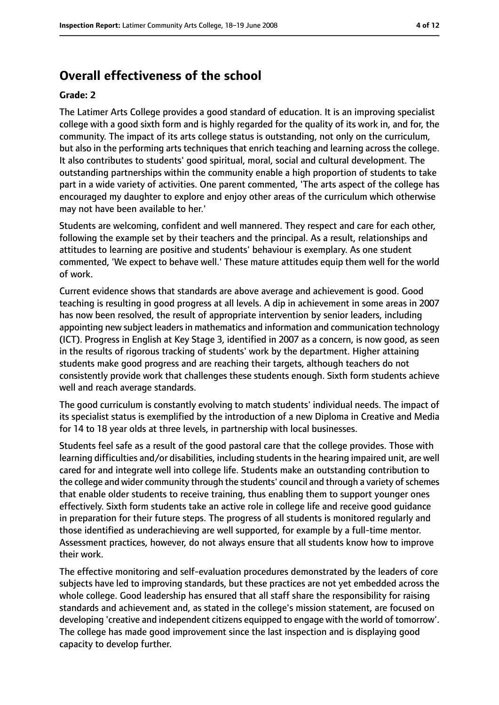# **Overall effectiveness of the school**

#### **Grade: 2**

The Latimer Arts College provides a good standard of education. It is an improving specialist college with a good sixth form and is highly regarded for the quality of its work in, and for, the community. The impact of its arts college status is outstanding, not only on the curriculum, but also in the performing arts techniques that enrich teaching and learning across the college. It also contributes to students' good spiritual, moral, social and cultural development. The outstanding partnerships within the community enable a high proportion of students to take part in a wide variety of activities. One parent commented, 'The arts aspect of the college has encouraged my daughter to explore and enjoy other areas of the curriculum which otherwise may not have been available to her.'

Students are welcoming, confident and well mannered. They respect and care for each other, following the example set by their teachers and the principal. As a result, relationships and attitudes to learning are positive and students' behaviour is exemplary. As one student commented, 'We expect to behave well.' These mature attitudes equip them well for the world of work.

Current evidence shows that standards are above average and achievement is good. Good teaching is resulting in good progress at all levels. A dip in achievement in some areas in 2007 has now been resolved, the result of appropriate intervention by senior leaders, including appointing new subject leaders in mathematics and information and communication technology (ICT). Progress in English at Key Stage 3, identified in 2007 as a concern, is now good, as seen in the results of rigorous tracking of students' work by the department. Higher attaining students make good progress and are reaching their targets, although teachers do not consistently provide work that challenges these students enough. Sixth form students achieve well and reach average standards.

The good curriculum is constantly evolving to match students' individual needs. The impact of its specialist status is exemplified by the introduction of a new Diploma in Creative and Media for 14 to 18 year olds at three levels, in partnership with local businesses.

Students feel safe as a result of the good pastoral care that the college provides. Those with learning difficulties and/or disabilities, including studentsin the hearing impaired unit, are well cared for and integrate well into college life. Students make an outstanding contribution to the college and wider community through the students' council and through a variety of schemes that enable older students to receive training, thus enabling them to support younger ones effectively. Sixth form students take an active role in college life and receive good guidance in preparation for their future steps. The progress of all students is monitored regularly and those identified as underachieving are well supported, for example by a full-time mentor. Assessment practices, however, do not always ensure that all students know how to improve their work.

The effective monitoring and self-evaluation procedures demonstrated by the leaders of core subjects have led to improving standards, but these practices are not yet embedded across the whole college. Good leadership has ensured that all staff share the responsibility for raising standards and achievement and, as stated in the college's mission statement, are focused on developing 'creative and independent citizens equipped to engage with the world of tomorrow'. The college has made good improvement since the last inspection and is displaying good capacity to develop further.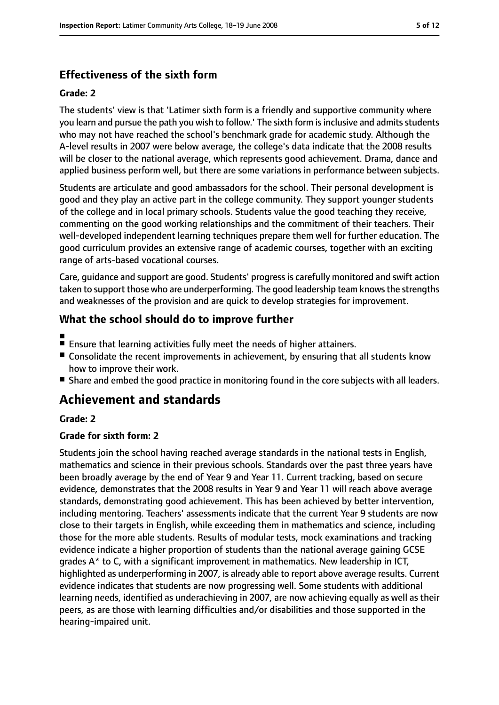## **Effectiveness of the sixth form**

#### **Grade: 2**

The students' view is that 'Latimer sixth form is a friendly and supportive community where you learn and pursue the path you wish to follow.' The sixth form is inclusive and admits students who may not have reached the school's benchmark grade for academic study. Although the A-level results in 2007 were below average, the college's data indicate that the 2008 results will be closer to the national average, which represents good achievement. Drama, dance and applied business perform well, but there are some variations in performance between subjects.

Students are articulate and good ambassadors for the school. Their personal development is good and they play an active part in the college community. They support younger students of the college and in local primary schools. Students value the good teaching they receive, commenting on the good working relationships and the commitment of their teachers. Their well-developed independent learning techniques prepare them well for further education. The good curriculum provides an extensive range of academic courses, together with an exciting range of arts-based vocational courses.

Care, guidance and support are good. Students' progress is carefully monitored and swift action taken to support those who are underperforming. The good leadership team knows the strengths and weaknesses of the provision and are quick to develop strategies for improvement.

## **What the school should do to improve further**

- ■
- Ensure that learning activities fully meet the needs of higher attainers.
- Consolidate the recent improvements in achievement, by ensuring that all students know how to improve their work.
- Share and embed the good practice in monitoring found in the core subjects with all leaders.

# **Achievement and standards**

#### **Grade: 2**

#### **Grade for sixth form: 2**

Students join the school having reached average standards in the national tests in English, mathematics and science in their previous schools. Standards over the past three years have been broadly average by the end of Year 9 and Year 11. Current tracking, based on secure evidence, demonstrates that the 2008 results in Year 9 and Year 11 will reach above average standards, demonstrating good achievement. This has been achieved by better intervention, including mentoring. Teachers' assessments indicate that the current Year 9 students are now close to their targets in English, while exceeding them in mathematics and science, including those for the more able students. Results of modular tests, mock examinations and tracking evidence indicate a higher proportion of students than the national average gaining GCSE grades A\* to C, with a significant improvement in mathematics. New leadership in ICT, highlighted as underperforming in 2007, is already able to report above average results. Current evidence indicates that students are now progressing well. Some students with additional learning needs, identified as underachieving in 2007, are now achieving equally as well as their peers, as are those with learning difficulties and/or disabilities and those supported in the hearing-impaired unit.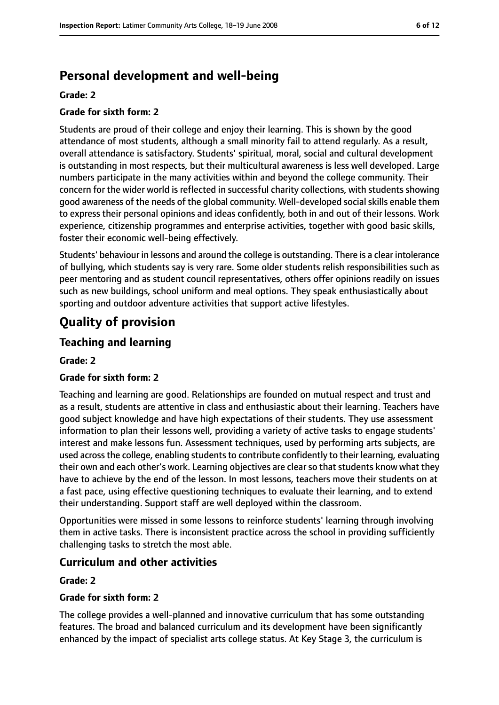# **Personal development and well-being**

#### **Grade: 2**

#### **Grade for sixth form: 2**

Students are proud of their college and enjoy their learning. This is shown by the good attendance of most students, although a small minority fail to attend regularly. As a result, overall attendance is satisfactory. Students' spiritual, moral, social and cultural development is outstanding in most respects, but their multicultural awareness is less well developed. Large numbers participate in the many activities within and beyond the college community. Their concern for the wider world is reflected in successful charity collections, with students showing good awareness of the needs of the global community. Well-developed socialskills enable them to express their personal opinions and ideas confidently, both in and out of their lessons. Work experience, citizenship programmes and enterprise activities, together with good basic skills, foster their economic well-being effectively.

Students' behaviour in lessons and around the college is outstanding. There is a clear intolerance of bullying, which students say is very rare. Some older students relish responsibilities such as peer mentoring and as student council representatives, others offer opinions readily on issues such as new buildings, school uniform and meal options. They speak enthusiastically about sporting and outdoor adventure activities that support active lifestyles.

# **Quality of provision**

## **Teaching and learning**

#### **Grade: 2**

#### **Grade for sixth form: 2**

Teaching and learning are good. Relationships are founded on mutual respect and trust and as a result, students are attentive in class and enthusiastic about their learning. Teachers have good subject knowledge and have high expectations of their students. They use assessment information to plan their lessons well, providing a variety of active tasks to engage students' interest and make lessons fun. Assessment techniques, used by performing arts subjects, are used acrossthe college, enabling studentsto contribute confidently to their learning, evaluating their own and each other's work. Learning objectives are clear so that students know what they have to achieve by the end of the lesson. In most lessons, teachers move their students on at a fast pace, using effective questioning techniques to evaluate their learning, and to extend their understanding. Support staff are well deployed within the classroom.

Opportunities were missed in some lessons to reinforce students' learning through involving them in active tasks. There is inconsistent practice across the school in providing sufficiently challenging tasks to stretch the most able.

## **Curriculum and other activities**

#### **Grade: 2**

#### **Grade for sixth form: 2**

The college provides a well-planned and innovative curriculum that has some outstanding features. The broad and balanced curriculum and its development have been significantly enhanced by the impact of specialist arts college status. At Key Stage 3, the curriculum is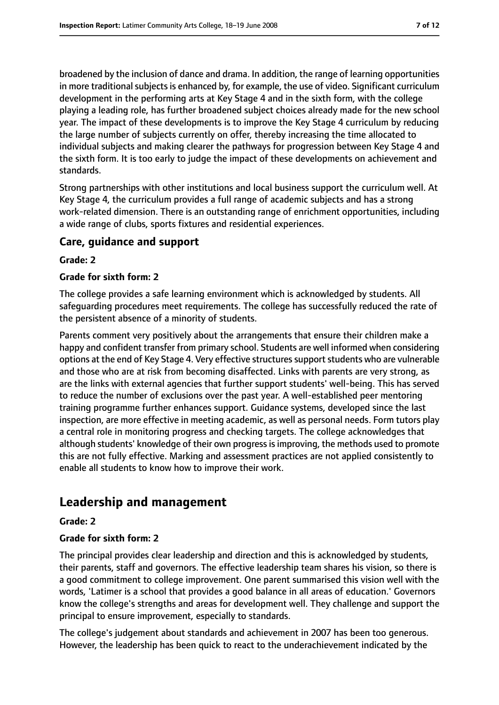broadened by the inclusion of dance and drama. In addition, the range of learning opportunities in more traditional subjects is enhanced by, for example, the use of video. Significant curriculum development in the performing arts at Key Stage 4 and in the sixth form, with the college playing a leading role, has further broadened subject choices already made for the new school year. The impact of these developments is to improve the Key Stage 4 curriculum by reducing the large number of subjects currently on offer, thereby increasing the time allocated to individual subjects and making clearer the pathways for progression between Key Stage 4 and the sixth form. It is too early to judge the impact of these developments on achievement and standards.

Strong partnerships with other institutions and local business support the curriculum well. At Key Stage 4, the curriculum provides a full range of academic subjects and has a strong work-related dimension. There is an outstanding range of enrichment opportunities, including a wide range of clubs, sports fixtures and residential experiences.

## **Care, guidance and support**

#### **Grade: 2**

#### **Grade for sixth form: 2**

The college provides a safe learning environment which is acknowledged by students. All safeguarding procedures meet requirements. The college has successfully reduced the rate of the persistent absence of a minority of students.

Parents comment very positively about the arrangements that ensure their children make a happy and confident transfer from primary school. Students are well informed when considering options at the end of Key Stage 4. Very effective structures support students who are vulnerable and those who are at risk from becoming disaffected. Links with parents are very strong, as are the links with external agencies that further support students' well-being. This has served to reduce the number of exclusions over the past year. A well-established peer mentoring training programme further enhances support. Guidance systems, developed since the last inspection, are more effective in meeting academic, as well as personal needs. Form tutors play a central role in monitoring progress and checking targets. The college acknowledges that although students' knowledge of their own progress is improving, the methods used to promote this are not fully effective. Marking and assessment practices are not applied consistently to enable all students to know how to improve their work.

# **Leadership and management**

#### **Grade: 2**

#### **Grade for sixth form: 2**

The principal provides clear leadership and direction and this is acknowledged by students, their parents, staff and governors. The effective leadership team shares his vision, so there is a good commitment to college improvement. One parent summarised this vision well with the words, 'Latimer is a school that provides a good balance in all areas of education.' Governors know the college's strengths and areas for development well. They challenge and support the principal to ensure improvement, especially to standards.

The college's judgement about standards and achievement in 2007 has been too generous. However, the leadership has been quick to react to the underachievement indicated by the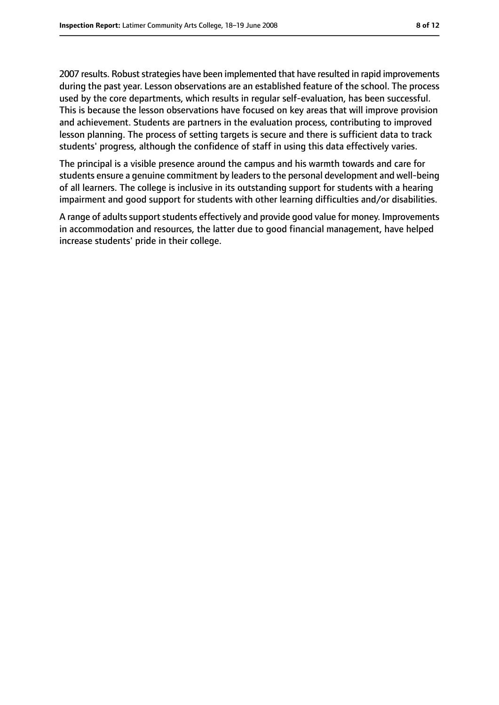2007 results. Robust strategies have been implemented that have resulted in rapid improvements during the past year. Lesson observations are an established feature of the school. The process used by the core departments, which results in regular self-evaluation, has been successful. This is because the lesson observations have focused on key areas that will improve provision and achievement. Students are partners in the evaluation process, contributing to improved lesson planning. The process of setting targets is secure and there is sufficient data to track

The principal is a visible presence around the campus and his warmth towards and care for students ensure a genuine commitment by leaders to the personal development and well-being of all learners. The college is inclusive in its outstanding support for students with a hearing impairment and good support for students with other learning difficulties and/or disabilities.

students' progress, although the confidence of staff in using this data effectively varies.

A range of adults support students effectively and provide good value for money. Improvements in accommodation and resources, the latter due to good financial management, have helped increase students' pride in their college.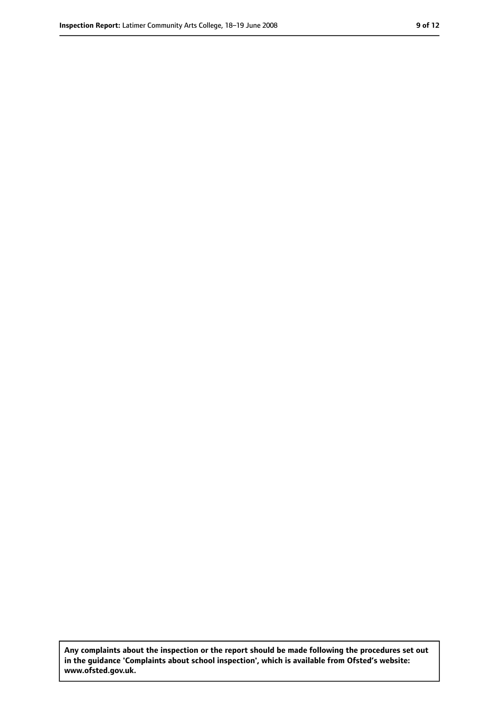**Any complaints about the inspection or the report should be made following the procedures set out in the guidance 'Complaints about school inspection', which is available from Ofsted's website: www.ofsted.gov.uk.**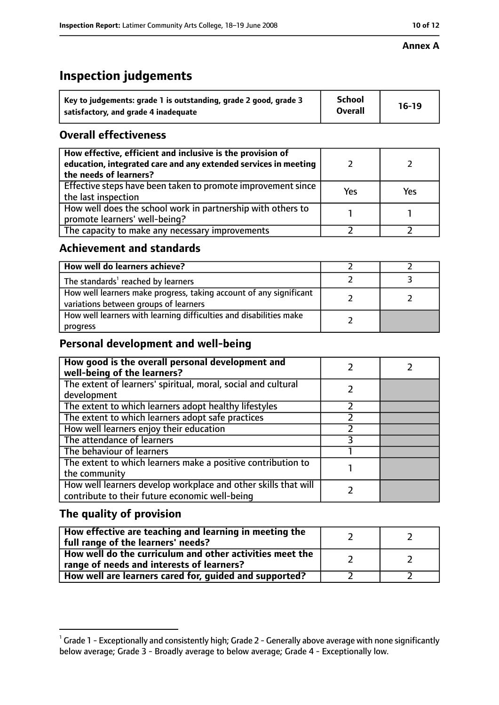#### **Annex A**

# **Inspection judgements**

| Key to judgements: grade 1 is outstanding, grade 2 good, grade 3 | <b>School</b>  | $16-19$ |
|------------------------------------------------------------------|----------------|---------|
| satisfactory, and grade 4 inadequate                             | <b>Overall</b> |         |

## **Overall effectiveness**

| How effective, efficient and inclusive is the provision of<br>education, integrated care and any extended services in meeting<br>the needs of learners? |     |     |
|---------------------------------------------------------------------------------------------------------------------------------------------------------|-----|-----|
| Effective steps have been taken to promote improvement since<br>the last inspection                                                                     | Yes | Yes |
| How well does the school work in partnership with others to<br>promote learners' well-being?                                                            |     |     |
| The capacity to make any necessary improvements                                                                                                         |     |     |

## **Achievement and standards**

| How well do learners achieve?                                                                               |  |
|-------------------------------------------------------------------------------------------------------------|--|
| The standards <sup>1</sup> reached by learners                                                              |  |
| How well learners make progress, taking account of any significant<br>variations between groups of learners |  |
| How well learners with learning difficulties and disabilities make<br>progress                              |  |

## **Personal development and well-being**

| How good is the overall personal development and<br>well-being of the learners?                                  |  |
|------------------------------------------------------------------------------------------------------------------|--|
| The extent of learners' spiritual, moral, social and cultural                                                    |  |
| development                                                                                                      |  |
| The extent to which learners adopt healthy lifestyles                                                            |  |
| The extent to which learners adopt safe practices                                                                |  |
| How well learners enjoy their education                                                                          |  |
| The attendance of learners                                                                                       |  |
| The behaviour of learners                                                                                        |  |
| The extent to which learners make a positive contribution to                                                     |  |
| the community                                                                                                    |  |
| How well learners develop workplace and other skills that will<br>contribute to their future economic well-being |  |

# **The quality of provision**

| How effective are teaching and learning in meeting the<br>full range of the learners' needs?          |  |
|-------------------------------------------------------------------------------------------------------|--|
| How well do the curriculum and other activities meet the<br>range of needs and interests of learners? |  |
| How well are learners cared for, guided and supported?                                                |  |

 $^1$  Grade 1 - Exceptionally and consistently high; Grade 2 - Generally above average with none significantly below average; Grade 3 - Broadly average to below average; Grade 4 - Exceptionally low.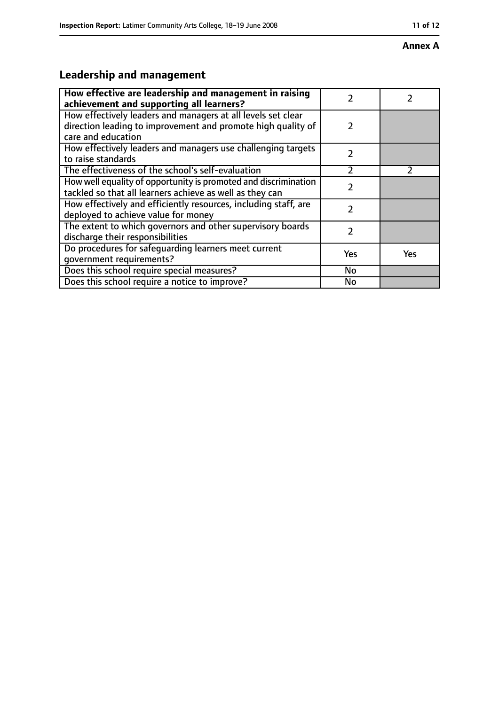#### **Annex A**

# **Leadership and management**

| How effective are leadership and management in raising<br>achievement and supporting all learners?                                                 | 7             |               |
|----------------------------------------------------------------------------------------------------------------------------------------------------|---------------|---------------|
| How effectively leaders and managers at all levels set clear<br>direction leading to improvement and promote high quality of<br>care and education | $\mathcal{P}$ |               |
| How effectively leaders and managers use challenging targets<br>to raise standards                                                                 | $\mathcal{P}$ |               |
| The effectiveness of the school's self-evaluation                                                                                                  | フ             | $\mathcal{P}$ |
| How well equality of opportunity is promoted and discrimination<br>tackled so that all learners achieve as well as they can                        | $\mathcal{P}$ |               |
| How effectively and efficiently resources, including staff, are<br>deployed to achieve value for money                                             | 7             |               |
| The extent to which governors and other supervisory boards<br>discharge their responsibilities                                                     | 7             |               |
| Do procedures for safequarding learners meet current<br>qovernment requirements?                                                                   | Yes           | Yes           |
| Does this school require special measures?                                                                                                         | No            |               |
| Does this school require a notice to improve?                                                                                                      | <b>No</b>     |               |